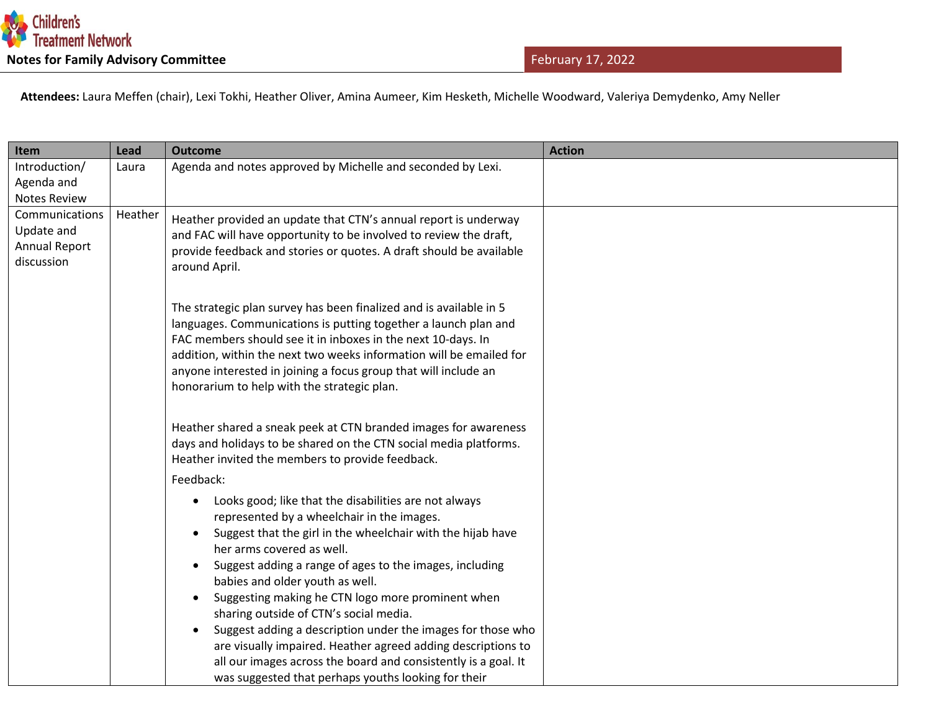

 **Attendees:** Laura Meffen (chair), Lexi Tokhi, Heather Oliver, Amina Aumeer, Kim Hesketh, Michelle Woodward, Valeriya Demydenko, Amy Neller

| Item                        | Lead    | <b>Outcome</b>                                                                                        | <b>Action</b> |
|-----------------------------|---------|-------------------------------------------------------------------------------------------------------|---------------|
| Introduction/               | Laura   | Agenda and notes approved by Michelle and seconded by Lexi.                                           |               |
| Agenda and                  |         |                                                                                                       |               |
| <b>Notes Review</b>         |         |                                                                                                       |               |
| Communications              | Heather | Heather provided an update that CTN's annual report is underway                                       |               |
| Update and                  |         | and FAC will have opportunity to be involved to review the draft,                                     |               |
| Annual Report<br>discussion |         | provide feedback and stories or quotes. A draft should be available                                   |               |
|                             |         | around April.                                                                                         |               |
|                             |         |                                                                                                       |               |
|                             |         | The strategic plan survey has been finalized and is available in 5                                    |               |
|                             |         | languages. Communications is putting together a launch plan and                                       |               |
|                             |         | FAC members should see it in inboxes in the next 10-days. In                                          |               |
|                             |         | addition, within the next two weeks information will be emailed for                                   |               |
|                             |         | anyone interested in joining a focus group that will include an                                       |               |
|                             |         | honorarium to help with the strategic plan.                                                           |               |
|                             |         |                                                                                                       |               |
|                             |         | Heather shared a sneak peek at CTN branded images for awareness                                       |               |
|                             |         | days and holidays to be shared on the CTN social media platforms.                                     |               |
|                             |         | Heather invited the members to provide feedback.                                                      |               |
|                             |         | Feedback:                                                                                             |               |
|                             |         | Looks good; like that the disabilities are not always<br>$\bullet$                                    |               |
|                             |         | represented by a wheelchair in the images.                                                            |               |
|                             |         | Suggest that the girl in the wheelchair with the hijab have                                           |               |
|                             |         | her arms covered as well.                                                                             |               |
|                             |         | Suggest adding a range of ages to the images, including                                               |               |
|                             |         | babies and older youth as well.                                                                       |               |
|                             |         | Suggesting making he CTN logo more prominent when                                                     |               |
|                             |         | sharing outside of CTN's social media.<br>Suggest adding a description under the images for those who |               |
|                             |         | are visually impaired. Heather agreed adding descriptions to                                          |               |
|                             |         | all our images across the board and consistently is a goal. It                                        |               |
|                             |         | was suggested that perhaps youths looking for their                                                   |               |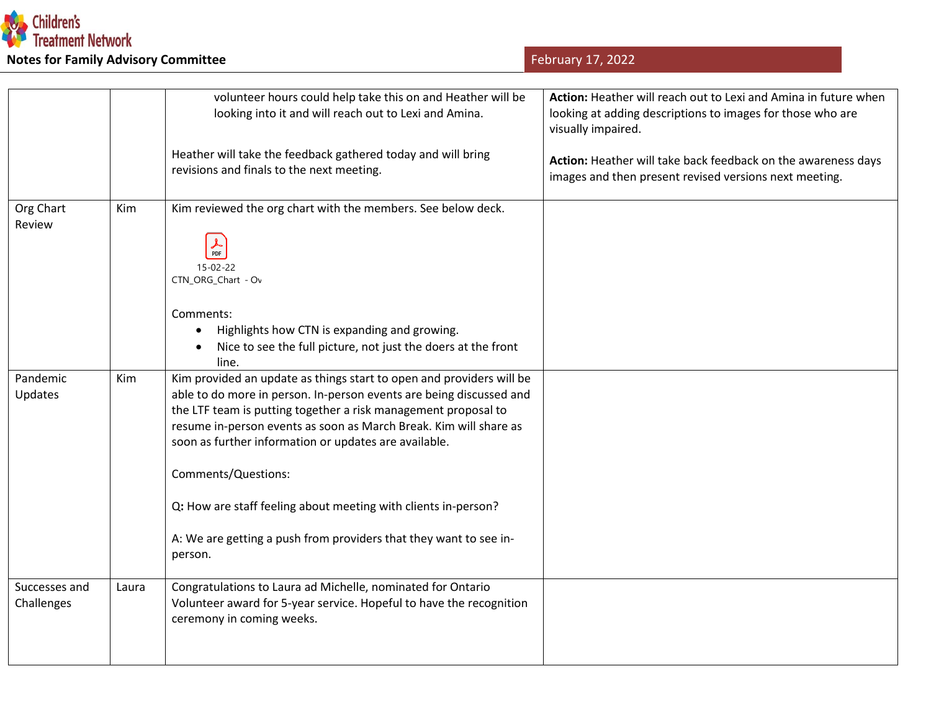

| February 17, 2022 |  |  |  |
|-------------------|--|--|--|
|-------------------|--|--|--|

|                             |       | volunteer hours could help take this on and Heather will be                                                                                                                                                                                                                                                                                                        | Action: Heather will reach out to Lexi and Amina in future when                                                         |
|-----------------------------|-------|--------------------------------------------------------------------------------------------------------------------------------------------------------------------------------------------------------------------------------------------------------------------------------------------------------------------------------------------------------------------|-------------------------------------------------------------------------------------------------------------------------|
|                             |       | looking into it and will reach out to Lexi and Amina.                                                                                                                                                                                                                                                                                                              | looking at adding descriptions to images for those who are<br>visually impaired.                                        |
|                             |       | Heather will take the feedback gathered today and will bring<br>revisions and finals to the next meeting.                                                                                                                                                                                                                                                          | Action: Heather will take back feedback on the awareness days<br>images and then present revised versions next meeting. |
| Org Chart<br>Review         | Kim   | Kim reviewed the org chart with the members. See below deck.<br>$\frac{1}{\text{PDF}}$<br>$15 - 02 - 22$<br>CTN_ORG_Chart - Ov                                                                                                                                                                                                                                     |                                                                                                                         |
|                             |       | Comments:<br>Highlights how CTN is expanding and growing.<br>Nice to see the full picture, not just the doers at the front<br>line.                                                                                                                                                                                                                                |                                                                                                                         |
| Pandemic<br>Updates         | Kim   | Kim provided an update as things start to open and providers will be<br>able to do more in person. In-person events are being discussed and<br>the LTF team is putting together a risk management proposal to<br>resume in-person events as soon as March Break. Kim will share as<br>soon as further information or updates are available.<br>Comments/Questions: |                                                                                                                         |
|                             |       | Q: How are staff feeling about meeting with clients in-person?<br>A: We are getting a push from providers that they want to see in-<br>person.                                                                                                                                                                                                                     |                                                                                                                         |
| Successes and<br>Challenges | Laura | Congratulations to Laura ad Michelle, nominated for Ontario<br>Volunteer award for 5-year service. Hopeful to have the recognition<br>ceremony in coming weeks.                                                                                                                                                                                                    |                                                                                                                         |